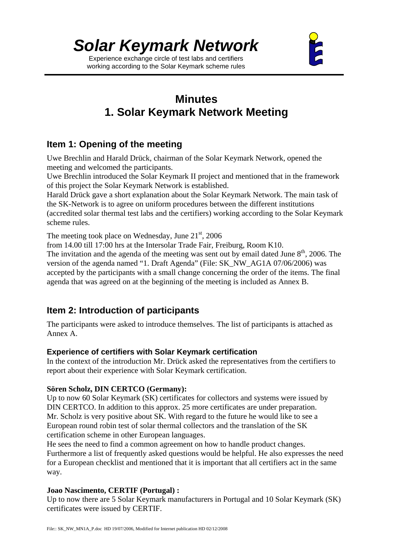*Solar Keymark Network*

Experience exchange circle of test labs and certifiers working according to the Solar Keymark scheme rules



## **Minutes 1. Solar Keymark Network Meeting**

## **Item 1: Opening of the meeting**

Uwe Brechlin and Harald Drück, chairman of the Solar Keymark Network, opened the meeting and welcomed the participants.

Uwe Brechlin introduced the Solar Keymark II project and mentioned that in the framework of this project the Solar Keymark Network is established.

Harald Drück gave a short explanation about the Solar Keymark Network. The main task of the SK-Network is to agree on uniform procedures between the different institutions (accredited solar thermal test labs and the certifiers) working according to the Solar Keymark scheme rules.

The meeting took place on Wednesday, June  $21<sup>st</sup>$ , 2006

from 14.00 till 17:00 hrs at the Intersolar Trade Fair, Freiburg, Room K10.

The invitation and the agenda of the meeting was sent out by email dated June  $8<sup>th</sup>$ , 2006. The version of the agenda named "1. Draft Agenda" (File: SK\_NW\_AG1A 07/06/2006) was accepted by the participants with a small change concerning the order of the items. The final agenda that was agreed on at the beginning of the meeting is included as Annex B.

### **Item 2: Introduction of participants**

The participants were asked to introduce themselves. The list of participants is attached as Annex A.

#### **Experience of certifiers with Solar Keymark certification**

In the context of the introduction Mr. Drück asked the representatives from the certifiers to report about their experience with Solar Keymark certification.

#### **Sören Scholz, DIN CERTCO (Germany):**

Up to now 60 Solar Keymark (SK) certificates for collectors and systems were issued by DIN CERTCO. In addition to this approx. 25 more certificates are under preparation. Mr. Scholz is very positive about SK. With regard to the future he would like to see a European round robin test of solar thermal collectors and the translation of the SK certification scheme in other European languages.

He sees the need to find a common agreement on how to handle product changes. Furthermore a list of frequently asked questions would be helpful. He also expresses the need for a European checklist and mentioned that it is important that all certifiers act in the same way.

#### **Joao Nascimento, CERTIF (Portugal) :**

Up to now there are 5 Solar Keymark manufacturers in Portugal and 10 Solar Keymark (SK) certificates were issued by CERTIF.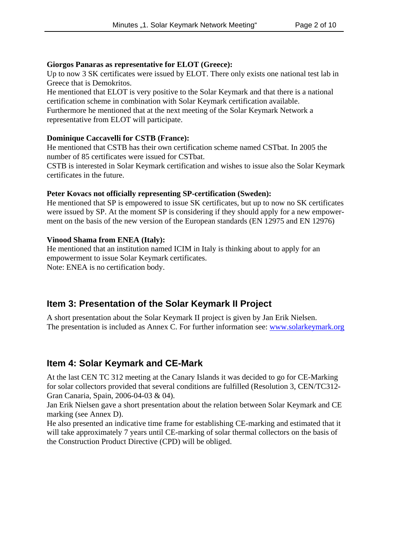#### **Giorgos Panaras as representative for ELOT (Greece):**

Up to now 3 SK certificates were issued by ELOT. There only exists one national test lab in Greece that is Demokritos.

He mentioned that ELOT is very positive to the Solar Keymark and that there is a national certification scheme in combination with Solar Keymark certification available. Furthermore he mentioned that at the next meeting of the Solar Keymark Network a representative from ELOT will participate.

#### **Dominique Caccavelli for CSTB (France):**

He mentioned that CSTB has their own certification scheme named CSTbat. In 2005 the number of 85 certificates were issued for CSTbat.

CSTB is interested in Solar Keymark certification and wishes to issue also the Solar Keymark certificates in the future.

#### **Peter Kovacs not officially representing SP-certification (Sweden):**

He mentioned that SP is empowered to issue SK certificates, but up to now no SK certificates were issued by SP. At the moment SP is considering if they should apply for a new empowerment on the basis of the new version of the European standards (EN 12975 and EN 12976)

#### **Vinood Shama from ENEA (Italy):**

He mentioned that an institution named ICIM in Italy is thinking about to apply for an empowerment to issue Solar Keymark certificates. Note: ENEA is no certification body.

### **Item 3: Presentation of the Solar Keymark II Project**

A short presentation about the Solar Keymark II project is given by Jan Erik Nielsen. The presentation is included as Annex C. For further information see: www.solarkeymark.org

### **Item 4: Solar Keymark and CE-Mark**

At the last CEN TC 312 meeting at the Canary Islands it was decided to go for CE-Marking for solar collectors provided that several conditions are fulfilled (Resolution 3, CEN/TC312- Gran Canaria, Spain, 2006-04-03 & 04).

Jan Erik Nielsen gave a short presentation about the relation between Solar Keymark and CE marking (see Annex D).

He also presented an indicative time frame for establishing CE-marking and estimated that it will take approximately 7 years until CE-marking of solar thermal collectors on the basis of the Construction Product Directive (CPD) will be obliged.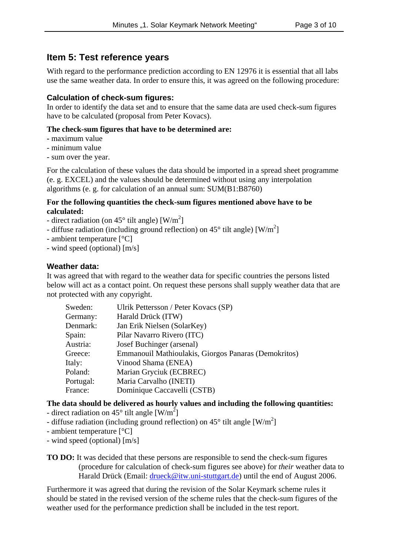#### **Item 5: Test reference years**

With regard to the performance prediction according to EN 12976 it is essential that all labs use the same weather data. In order to ensure this, it was agreed on the following procedure:

#### **Calculation of check-sum figures:**

In order to identify the data set and to ensure that the same data are used check-sum figures have to be calculated (proposal from Peter Kovacs).

#### **The check-sum figures that have to be determined are:**

- maximum value
- minimum value
- sum over the year.

For the calculation of these values the data should be imported in a spread sheet programme (e. g. EXCEL) and the values should be determined without using any interpolation algorithms (e. g. for calculation of an annual sum: SUM(B1:B8760)

#### **For the following quantities the check-sum figures mentioned above have to be calculated:**

- direct radiation (on  $45^{\circ}$  tilt angle) [W/m<sup>2</sup>]
- diffuse radiation (including ground reflection) on  $45^{\circ}$  tilt angle) [W/m<sup>2</sup>]
- ambient temperature [°C]
- wind speed (optional) [m/s]

#### **Weather data:**

It was agreed that with regard to the weather data for specific countries the persons listed below will act as a contact point. On request these persons shall supply weather data that are not protected with any copyright.

| Sweden:   | Ulrik Pettersson / Peter Kovacs (SP)                 |  |
|-----------|------------------------------------------------------|--|
| Germany:  | Harald Drück (ITW)                                   |  |
| Denmark:  | Jan Erik Nielsen (SolarKey)                          |  |
| Spain:    | Pilar Navarro Rivero (ITC)                           |  |
| Austria:  | Josef Buchinger (arsenal)                            |  |
| Greece:   | Emmanouil Mathioulakis, Giorgos Panaras (Demokritos) |  |
| Italy:    | Vinood Shama (ENEA)                                  |  |
| Poland:   | Marian Gryciuk (ECBREC)                              |  |
| Portugal: | Maria Carvalho (INETI)                               |  |
| France:   | Dominique Caccavelli (CSTB)                          |  |
|           |                                                      |  |

**The data should be delivered as hourly values and including the following quantities:**

- direct radiation on 45 $^{\circ}$  tilt angle [W/m<sup>2</sup>]
- diffuse radiation (including ground reflection) on  $45^{\circ}$  tilt angle [W/m<sup>2</sup>]
- ambient temperature [°C]
- wind speed (optional) [m/s]
- **TO DO:** It was decided that these persons are responsible to send the check-sum figures (procedure for calculation of check-sum figures see above) for *their* weather data to Harald Drück (Email: drueck@itw.uni-stuttgart.de) until the end of August 2006.

Furthermore it was agreed that during the revision of the Solar Keymark scheme rules it should be stated in the revised version of the scheme rules that the check-sum figures of the weather used for the performance prediction shall be included in the test report.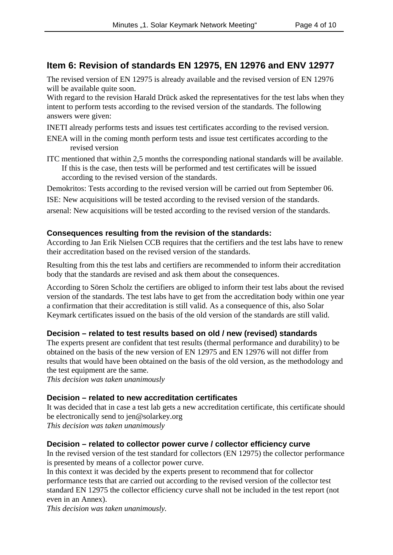### **Item 6: Revision of standards EN 12975, EN 12976 and ENV 12977**

The revised version of EN 12975 is already available and the revised version of EN 12976 will be available quite soon.

With regard to the revision Harald Drück asked the representatives for the test labs when they intent to perform tests according to the revised version of the standards. The following answers were given:

INETI already performs tests and issues test certificates according to the revised version.

- ENEA will in the coming month perform tests and issue test certificates according to the revised version
- ITC mentioned that within 2,5 months the corresponding national standards will be available. If this is the case, then tests will be performed and test certificates will be issued according to the revised version of the standards.

Demokritos: Tests according to the revised version will be carried out from September 06.

ISE: New acquisitions will be tested according to the revised version of the standards.

arsenal: New acquisitions will be tested according to the revised version of the standards.

#### **Consequences resulting from the revision of the standards:**

According to Jan Erik Nielsen CCB requires that the certifiers and the test labs have to renew their accreditation based on the revised version of the standards.

Resulting from this the test labs and certifiers are recommended to inform their accreditation body that the standards are revised and ask them about the consequences.

According to Sören Scholz the certifiers are obliged to inform their test labs about the revised version of the standards. The test labs have to get from the accreditation body within one year a confirmation that their accreditation is still valid. As a consequence of this, also Solar Keymark certificates issued on the basis of the old version of the standards are still valid.

#### **Decision – related to test results based on old / new (revised) standards**

The experts present are confident that test results (thermal performance and durability) to be obtained on the basis of the new version of EN 12975 and EN 12976 will not differ from results that would have been obtained on the basis of the old version, as the methodology and the test equipment are the same.

*This decision was taken unanimously*

#### **Decision – related to new accreditation certificates**

It was decided that in case a test lab gets a new accreditation certificate, this certificate should be electronically send to jen@solarkey.org *This decision was taken unanimously*

#### **Decision – related to collector power curve / collector efficiency curve**

In the revised version of the test standard for collectors (EN 12975) the collector performance is presented by means of a collector power curve.

In this context it was decided by the experts present to recommend that for collector performance tests that are carried out according to the revised version of the collector test standard EN 12975 the collector efficiency curve shall not be included in the test report (not even in an Annex).

*This decision was taken unanimously.*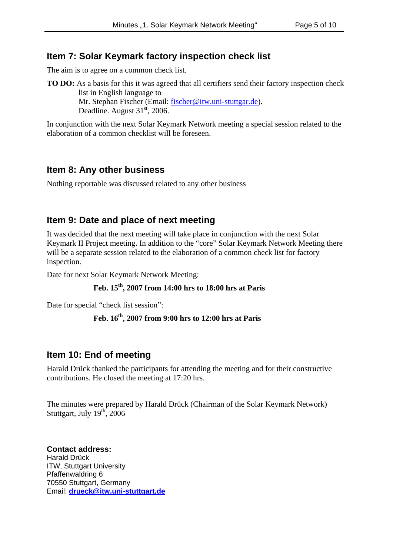#### **Item 7: Solar Keymark factory inspection check list**

The aim is to agree on a common check list.

**TO DO:** As a basis for this it was agreed that all certifiers send their factory inspection check list in English language to Mr. Stephan Fischer (Email: fischer@itw.uni-stuttgar.de).

Deadline. August  $31<sup>st</sup>$ , 2006.

In conjunction with the next Solar Keymark Network meeting a special session related to the elaboration of a common checklist will be foreseen.

#### **Item 8: Any other business**

Nothing reportable was discussed related to any other business

### **Item 9: Date and place of next meeting**

It was decided that the next meeting will take place in conjunction with the next Solar Keymark II Project meeting. In addition to the "core" Solar Keymark Network Meeting there will be a separate session related to the elaboration of a common check list for factory inspection.

Date for next Solar Keymark Network Meeting:

#### **Feb. 15th, 2007 from 14:00 hrs to 18:00 hrs at Paris**

Date for special "check list session":

#### **Feb. 16th, 2007 from 9:00 hrs to 12:00 hrs at Paris**

#### **Item 10: End of meeting**

Harald Drück thanked the participants for attending the meeting and for their constructive contributions. He closed the meeting at 17:20 hrs.

The minutes were prepared by Harald Drück (Chairman of the Solar Keymark Network) Stuttgart, July  $19<sup>th</sup>$ , 2006

**Contact address:** Harald Drück ITW, Stuttgart University Pfaffenwaldring 6 70550 Stuttgart, Germany Email: **drueck@itw.uni-stuttgart.de**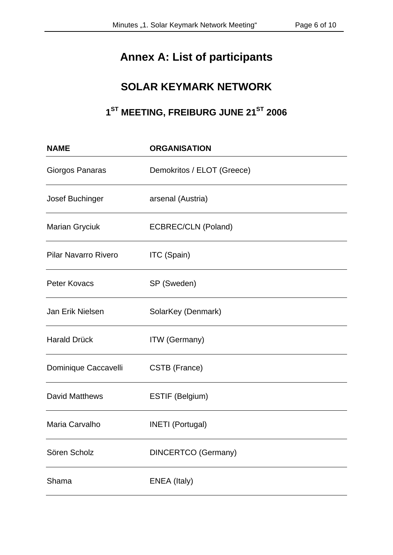# **Annex A: List of participants**

## **SOLAR KEYMARK NETWORK**

# 1<sup>ST</sup> MEETING, FREIBURG JUNE 21<sup>ST</sup> 2006

| <b>NAME</b>                 | <b>ORGANISATION</b>        |  |  |  |
|-----------------------------|----------------------------|--|--|--|
| Giorgos Panaras             | Demokritos / ELOT (Greece) |  |  |  |
| <b>Josef Buchinger</b>      | arsenal (Austria)          |  |  |  |
| <b>Marian Gryciuk</b>       | ECBREC/CLN (Poland)        |  |  |  |
| <b>Pilar Navarro Rivero</b> | ITC (Spain)                |  |  |  |
| <b>Peter Kovacs</b>         | SP (Sweden)                |  |  |  |
| Jan Erik Nielsen            | SolarKey (Denmark)         |  |  |  |
| <b>Harald Drück</b>         | <b>ITW</b> (Germany)       |  |  |  |
| Dominique Caccavelli        | CSTB (France)              |  |  |  |
| <b>David Matthews</b>       | ESTIF (Belgium)            |  |  |  |
| Maria Carvalho              | <b>INETI</b> (Portugal)    |  |  |  |
| Sören Scholz                | <b>DINCERTCO</b> (Germany) |  |  |  |
| Shama                       | ENEA (Italy)               |  |  |  |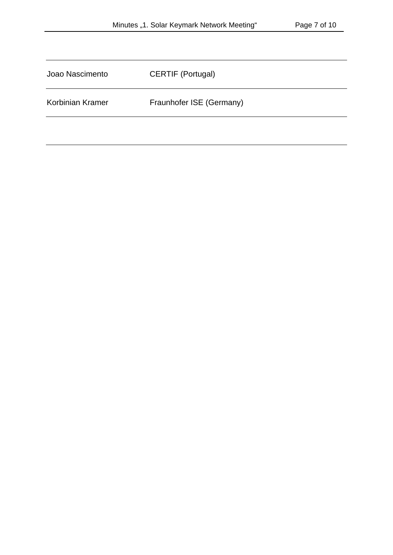| Joao Nascimento  | CERTIF (Portugal)        |
|------------------|--------------------------|
| Korbinian Kramer | Fraunhofer ISE (Germany) |
|                  |                          |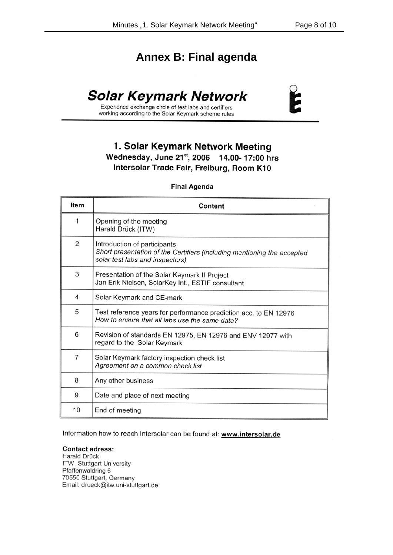## **Annex B: Final agenda**

# **Solar Keymark Network**



Experience exchange circle of test labs and certifiers working according to the Solar Keymark scheme rules

## 1. Solar Keymark Network Meeting Wednesday, June 21st, 2006 14.00-17:00 hrs Intersolar Trade Fair, Freiburg, Room K10

#### **Final Agenda**

| <b>Item</b>    | Content                                                                                                                                    |  |
|----------------|--------------------------------------------------------------------------------------------------------------------------------------------|--|
| 1              | Opening of the meeting<br>Harald Drück (ITW)                                                                                               |  |
| 2              | Introduction of participants<br>Short presentation of the Certifiers (including mentioning the accepted<br>solar test labs and inspectors) |  |
| 3              | Presentation of the Solar Keymark II Project<br>Jan Erik Nielsen, SolarKey Int., ESTIF consultant                                          |  |
| 4              | Solar Keymark and CE-mark                                                                                                                  |  |
| 5              | Test reference years for performance prediction acc. to EN 12976<br>How to ensure that all labs use the same data?                         |  |
| 6              | Revision of standards EN 12975, EN 12976 and ENV 12977 with<br>regard to the Solar Keymark                                                 |  |
| $\overline{7}$ | Solar Keymark factory inspection check list<br>Agreement on a common check list                                                            |  |
| 8              | Any other business                                                                                                                         |  |
| 9              | Date and place of next meeting                                                                                                             |  |
| 10             | End of meeting                                                                                                                             |  |

Information how to reach Intersolar can be found at: www.intersolar.de

#### **Contact adress:**

Harald Drück ITW, Stuttgart University Pfaffenwaldring 6 70550 Stuttgart, Germany Email: drueck@itw.uni-stuttgart.de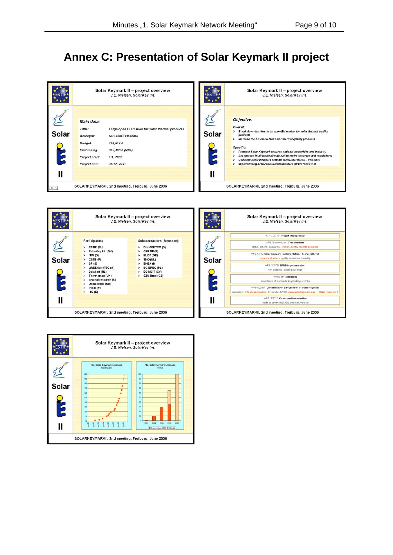# **Annex C: Presentation of Solar Keymark II project**

|                                    | Solar Keymark II - project overview<br>J.E. Nielsen, SolarKey Int.                                                                                                                                                                                |            | Solar Keymark II - project overview<br>J.E. Nielsen, SolarKey Int.                                                                                                                                                                                                                                                                                                                                                                                             |
|------------------------------------|---------------------------------------------------------------------------------------------------------------------------------------------------------------------------------------------------------------------------------------------------|------------|----------------------------------------------------------------------------------------------------------------------------------------------------------------------------------------------------------------------------------------------------------------------------------------------------------------------------------------------------------------------------------------------------------------------------------------------------------------|
| $\frac{2}{\text{Solar}}$<br>E<br>Ш | Main data:<br>Large open EU market for solar thermal products<br>Tittle:<br><b>SOLARKEYMARKII</b><br>Acronym:<br><b>Budget:</b><br>784,617€<br><b>EC-funding:</b><br>392,308 € (50%)<br>Project start:<br>1/1,2006<br>Prcject end:<br>31/12, 2007 | Solar<br>Ш | Okjective:<br>Overall:<br>Break down barriers to an open EU market for solar thermal quality<br>products<br>Increase the EU market for solar thermal quality products<br>Specific:<br>Promote Solar Keymark towards national authorities and industry<br>Acceptance in all national/regional incentive schemes and regulations<br>Updating Solar Keymark scheme rules /standards - flexibility<br>Implementing EPBD calculation standard (prEn 15316-4-3)<br>r |
| $0 \triangle$                      | SOLARKEYMARKII, 2nd meeting, Freiburg, June 2006                                                                                                                                                                                                  |            | SOLARKEYMARKII, 2nd meeting, Freiburg, June 2006                                                                                                                                                                                                                                                                                                                                                                                                               |